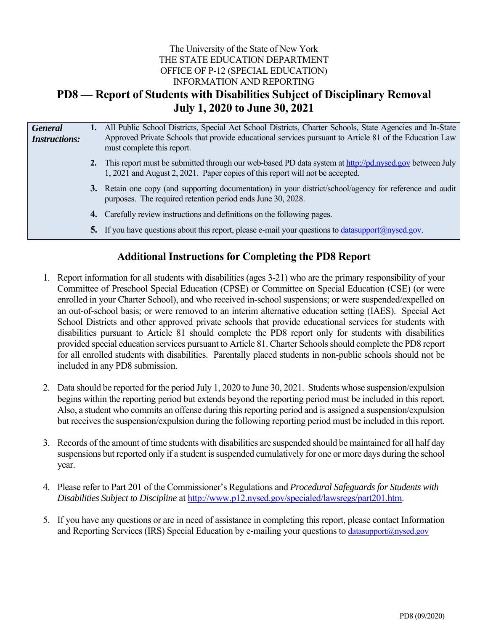# The University of the State of New York THE STATE EDUCATION DEPARTMENT OFFICE OF P-12 (SPECIAL EDUCATION) INFORMATION AND REPORTING **PD8 — Report of Students with Disabilities Subject of Disciplinary Removal July 1, 2020 to June 30, 2021**

| <b>General</b><br><b>Instructions:</b> | 1. All Public School Districts, Special Act School Districts, Charter Schools, State Agencies and In-State<br>Approved Private Schools that provide educational services pursuant to Article 81 of the Education Law<br>must complete this report. |
|----------------------------------------|----------------------------------------------------------------------------------------------------------------------------------------------------------------------------------------------------------------------------------------------------|
|                                        | 2. This report must be submitted through our web-based PD data system at http://pd.nysed.gov between July<br>1, 2021 and August 2, 2021. Paper copies of this report will not be accepted.                                                         |
|                                        | 3. Retain one copy (and supporting documentation) in your district/school/agency for reference and audit<br>purposes. The required retention period ends June 30, 2028.                                                                            |
|                                        | <b>4.</b> Carefully review instructions and definitions on the following pages.                                                                                                                                                                    |
|                                        | 5. If you have questions about this report, please e-mail your questions to datasupport $(a)$ hypersquare.                                                                                                                                         |
|                                        |                                                                                                                                                                                                                                                    |

# **Additional Instructions for Completing the PD8 Report**

- 1. Report information for all students with disabilities (ages 3-21) who are the primary responsibility of your Committee of Preschool Special Education (CPSE) or Committee on Special Education (CSE) (or were enrolled in your Charter School), and who received in-school suspensions; or were suspended/expelled on an out-of-school basis; or were removed to an interim alternative education setting (IAES). Special Act School Districts and other approved private schools that provide educational services for students with disabilities pursuant to Article 81 should complete the PD8 report only for students with disabilities provided special education services pursuant to Article 81. Charter Schools should complete the PD8 report for all enrolled students with disabilities. Parentally placed students in non-public schools should not be included in any PD8 submission.
- 2. Data should be reported for the period July 1, 2020 to June 30, 2021. Students whose suspension/expulsion begins within the reporting period but extends beyond the reporting period must be included in this report. Also, a student who commits an offense during this reporting period and is assigned a suspension/expulsion but receives the suspension/expulsion during the following reporting period must be included in this report.
- 3. Records of the amount of time students with disabilities are suspended should be maintained for all half day suspensions but reported only if a student is suspended cumulatively for one or more days during the school year.
- 4. Please refer to Part 201 of the Commissioner's Regulations and *Procedural Safeguards for Students with Disabilities Subject to Discipline* at http://www.p12.nysed.gov/specialed/lawsregs/part201.htm.
- 5. If you have any questions or are in need of assistance in completing this report, please contact Information and Reporting Services (IRS) Special Education by e-mailing your questions to datasupport@nysed.gov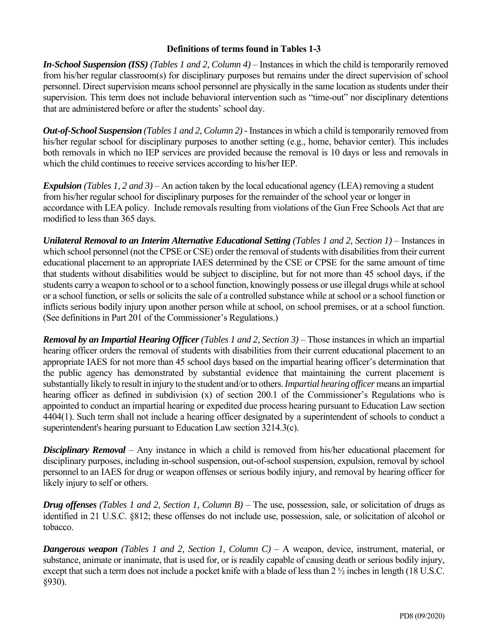## **Definitions of terms found in Tables 1-3**

*In-School Suspension (ISS) (Tables 1 and 2, Column 4)* – Instances in which the child is temporarily removed from his/her regular classroom(s) for disciplinary purposes but remains under the direct supervision of school personnel. Direct supervision means school personnel are physically in the same location as students under their supervision. This term does not include behavioral intervention such as "time-out" nor disciplinary detentions that are administered before or after the students' school day.

*Out-of-School Suspension (Tables 1 and 2, Column 2) -* Instances in which a child is temporarily removed from his/her regular school for disciplinary purposes to another setting (e.g., home, behavior center). This includes both removals in which no IEP services are provided because the removal is 10 days or less and removals in which the child continues to receive services according to his/her IEP.

*Expulsion (Tables 1, 2 and 3)* – An action taken by the local educational agency (LEA) removing a student from his/her regular school for disciplinary purposes for the remainder of the school year or longer in accordance with LEA policy. Include removals resulting from violations of the Gun Free Schools Act that are modified to less than 365 days.

*Unilateral Removal to an Interim Alternative Educational Setting (Tables 1 and 2, Section 1)* – Instances in which school personnel (not the CPSE or CSE) order the removal of students with disabilities from their current educational placement to an appropriate IAES determined by the CSE or CPSE for the same amount of time that students without disabilities would be subject to discipline, but for not more than 45 school days, if the students carry a weapon to school or to a school function, knowingly possess or use illegal drugs while at school or a school function, or sells or solicits the sale of a controlled substance while at school or a school function or inflicts serious bodily injury upon another person while at school, on school premises, or at a school function. (See definitions in Part 201 of the Commissioner's Regulations.)

*Removal by an Impartial Hearing Officer (Tables 1 and 2, Section 3)* – Those instances in which an impartial hearing officer orders the removal of students with disabilities from their current educational placement to an appropriate IAES for not more than 45 school days based on the impartial hearing officer's determination that the public agency has demonstrated by substantial evidence that maintaining the current placement is substantially likely to result in injury to the student and/or to others. *Impartial hearing officer* means an impartial hearing officer as defined in subdivision (x) of section 200.1 of the Commissioner's Regulations who is appointed to conduct an impartial hearing or expedited due process hearing pursuant to Education Law section 4404(1). Such term shall not include a hearing officer designated by a superintendent of schools to conduct a superintendent's hearing pursuant to Education Law section 3214.3(c).

*Disciplinary Removal* – Any instance in which a child is removed from his/her educational placement for disciplinary purposes, including in-school suspension, out-of-school suspension, expulsion, removal by school personnel to an IAES for drug or weapon offenses or serious bodily injury, and removal by hearing officer for likely injury to self or others.

*Drug offenses (Tables 1 and 2, Section 1, Column B)* – The use, possession, sale, or solicitation of drugs as identified in 21 U.S.C. §812; these offenses do not include use, possession, sale, or solicitation of alcohol or tobacco.

*Dangerous weapon (Tables 1 and 2, Section 1, Column C)* – A weapon, device, instrument, material, or substance, animate or inanimate, that is used for, or is readily capable of causing death or serious bodily injury, except that such a term does not include a pocket knife with a blade of less than 2 ½ inches in length (18 U.S.C. §930).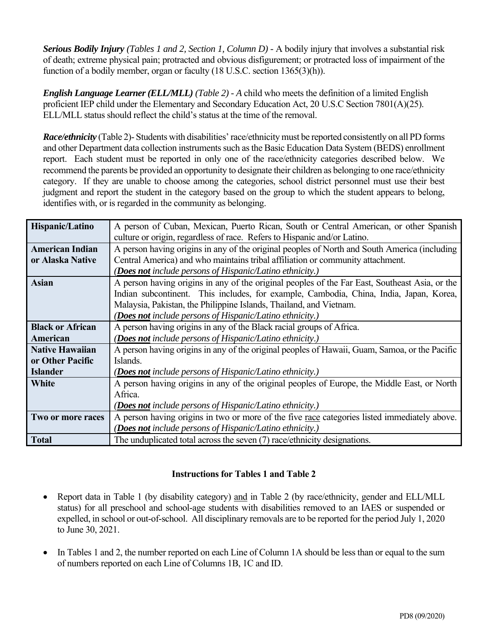*Serious Bodily Injury (Tables 1 and 2, Section 1, Column D) -* A bodily injury that involves a substantial risk of death; extreme physical pain; protracted and obvious disfigurement; or protracted loss of impairment of the function of a bodily member, organ or faculty (18 U.S.C. section 1365(3)(h)).

*English Language Learner(ELL/MLL) (Table 2) - A* child who meets the definition of a limited English proficient IEP child under the Elementary and Secondary Education Act, 20 U.S.C Section 7801(A)(25). ELL/MLL status should reflect the child's status at the time of the removal.

*Race/ethnicity* (Table 2)- Students with disabilities' race/ethnicity must be reported consistently on all PD forms and other Department data collection instruments such as the Basic Education Data System (BEDS) enrollment report. Each student must be reported in only one of the race/ethnicity categories described below. We recommend the parents be provided an opportunity to designate their children as belonging to one race/ethnicity category. If they are unable to choose among the categories, school district personnel must use their best judgment and report the student in the category based on the group to which the student appears to belong, identifies with, or is regarded in the community as belonging.

| Hispanic/Latino         | A person of Cuban, Mexican, Puerto Rican, South or Central American, or other Spanish          |  |  |  |  |  |
|-------------------------|------------------------------------------------------------------------------------------------|--|--|--|--|--|
|                         | culture or origin, regardless of race. Refers to Hispanic and/or Latino.                       |  |  |  |  |  |
| <b>American Indian</b>  | A person having origins in any of the original peoples of North and South America (including   |  |  |  |  |  |
| or Alaska Native        | Central America) and who maintains tribal affiliation or community attachment.                 |  |  |  |  |  |
|                         | ( <b>Does not</b> include persons of Hispanic/Latino ethnicity.)                               |  |  |  |  |  |
| <b>Asian</b>            | A person having origins in any of the original peoples of the Far East, Southeast Asia, or the |  |  |  |  |  |
|                         | Indian subcontinent. This includes, for example, Cambodia, China, India, Japan, Korea,         |  |  |  |  |  |
|                         | Malaysia, Pakistan, the Philippine Islands, Thailand, and Vietnam.                             |  |  |  |  |  |
|                         | ( <b>Does not</b> include persons of Hispanic/Latino ethnicity.)                               |  |  |  |  |  |
| <b>Black or African</b> | A person having origins in any of the Black racial groups of Africa.                           |  |  |  |  |  |
| American                | (Does not include persons of Hispanic/Latino ethnicity.)                                       |  |  |  |  |  |
| <b>Native Hawaiian</b>  | A person having origins in any of the original peoples of Hawaii, Guam, Samoa, or the Pacific  |  |  |  |  |  |
| or Other Pacific        | Islands.                                                                                       |  |  |  |  |  |
| <b>Islander</b>         | ( <b>Does not</b> include persons of Hispanic/Latino ethnicity.)                               |  |  |  |  |  |
| <b>White</b>            | A person having origins in any of the original peoples of Europe, the Middle East, or North    |  |  |  |  |  |
|                         | Africa.                                                                                        |  |  |  |  |  |
|                         | ( <b>Does not</b> include persons of Hispanic/Latino ethnicity.)                               |  |  |  |  |  |
| Two or more races       | A person having origins in two or more of the five race categories listed immediately above.   |  |  |  |  |  |
|                         | ( <b>Does not</b> include persons of Hispanic/Latino ethnicity.)                               |  |  |  |  |  |
| <b>Total</b>            | The unduplicated total across the seven (7) race/ethnicity designations.                       |  |  |  |  |  |

# **Instructions for Tables 1 and Table 2**

- Report data in Table 1 (by disability category) and in Table 2 (by race/ethnicity, gender and ELL/MLL status) for all preschool and school-age students with disabilities removed to an IAES or suspended or expelled, in school or out-of-school. All disciplinary removals are to be reported for the period July 1, 2020 to June 30, 2021.
- In Tables 1 and 2, the number reported on each Line of Column 1A should be less than or equal to the sum of numbers reported on each Line of Columns 1B, 1C and ID.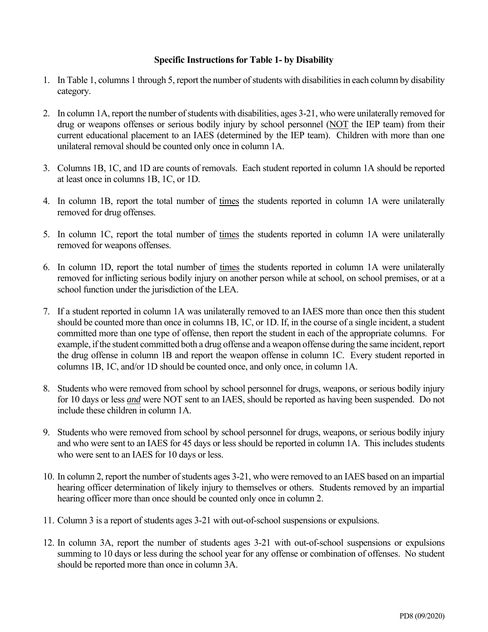### **Specific Instructions for Table 1- by Disability**

- 1. In Table 1, columns 1 through 5, report the number of students with disabilities in each column by disability category.
- 2. In column 1A, report the number of students with disabilities, ages 3-21, who were unilaterally removed for drug or weapons offenses or serious bodily injury by school personnel (NOT the IEP team) from their current educational placement to an IAES (determined by the IEP team). Children with more than one unilateral removal should be counted only once in column 1A.
- 3. Columns 1B, 1C, and 1D are counts of removals. Each student reported in column 1A should be reported at least once in columns 1B, 1C, or 1D.
- 4. In column 1B, report the total number of times the students reported in column 1A were unilaterally removed for drug offenses.
- 5. In column 1C, report the total number of times the students reported in column 1A were unilaterally removed for weapons offenses.
- 6. In column 1D, report the total number of times the students reported in column 1A were unilaterally removed for inflicting serious bodily injury on another person while at school, on school premises, or at a school function under the jurisdiction of the LEA.
- 7. If a student reported in column 1A was unilaterally removed to an IAES more than once then this student should be counted more than once in columns 1B, 1C, or 1D. If, in the course of a single incident, a student committed more than one type of offense, then report the student in each of the appropriate columns. For example, if the student committed both a drug offense and a weapon offense during the same incident, report the drug offense in column 1B and report the weapon offense in column 1C. Every student reported in columns 1B, 1C, and/or 1D should be counted once, and only once, in column 1A.
- 8. Students who were removed from school by school personnel for drugs, weapons, or serious bodily injury for 10 days or less *and* were NOT sent to an IAES, should be reported as having been suspended. Do not include these children in column 1A.
- 9. Students who were removed from school by school personnel for drugs, weapons, or serious bodily injury and who were sent to an IAES for 45 days or less should be reported in column 1A. This includes students who were sent to an IAES for 10 days or less.
- 10. In column 2, report the number of students ages 3-21, who were removed to an IAES based on an impartial hearing officer determination of likely injury to themselves or others. Students removed by an impartial hearing officer more than once should be counted only once in column 2.
- 11. Column 3 is a report of students ages 3-21 with out-of-school suspensions or expulsions.
- 12. In column 3A, report the number of students ages 3-21 with out-of-school suspensions or expulsions summing to 10 days or less during the school year for any offense or combination of offenses. No student should be reported more than once in column 3A.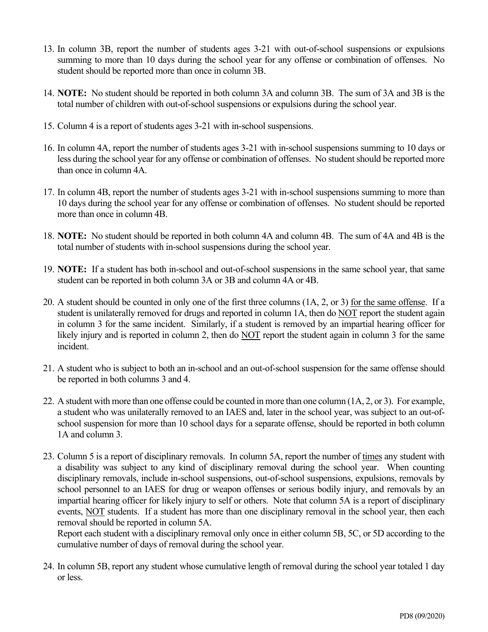- 13. In column 3B, report the number of students ages 3-21 with out-of-school suspensions or expulsions summing to more than 10 days during the school year for any offense or combination of offenses. No student should be reported more than once in column 3B.
- 14. **NOTE:** No student should be reported in both column 3A and column 3B. The sum of 3A and 3B is the total number of children with out-of-school suspensions or expulsions during the school year.
- 15. Column 4 is a report of students ages 3-21 with in-school suspensions.
- 16. In column 4A, report the number of students ages 3-21 with in-school suspensions summing to 10 days or less during the school year for any offense or combination of offenses. No student should be reported more than once in column 4A.
- 17. In column 4B, report the number of students ages 3-21 with in-school suspensions summing to more than 10 days during the school year for any offense or combination of offenses. No student should be reported more than once in column 4B.
- 18. **NOTE:** No student should be reported in both column 4A and column 4B. The sum of 4A and 4B is the total number of students with in-school suspensions during the school year.
- 19. **NOTE:** If a student has both in-school and out-of-school suspensions in the same school year, that same student can be reported in both column 3A or 3B and column 4A or 4B.
- 20. A student should be counted in only one of the first three columns (1A, 2, or 3) for the same offense. If a student is unilaterally removed for drugs and reported in column 1A, then do NOT report the student again in column 3 for the same incident. Similarly, if a student is removed by an impartial hearing officer for likely injury and is reported in column 2, then do NOT report the student again in column 3 for the same incident.
- 21. A student who is subject to both an in-school and an out-of-school suspension for the same offense should be reported in both columns 3 and 4.
- 22. A student with more than one offense could be counted in more than one column (1A, 2, or 3). For example, a student who was unilaterally removed to an IAES and, later in the school year, was subject to an out-ofschool suspension for more than 10 school days for a separate offense, should be reported in both column 1A and column 3.
- 23. Column 5 is a report of disciplinary removals. In column 5A, report the number of times any student with a disability was subject to any kind of disciplinary removal during the school year. When counting disciplinary removals, include in-school suspensions, out-of-school suspensions, expulsions, removals by school personnel to an IAES for drug or weapon offenses or serious bodily injury, and removals by an impartial hearing officer for likely injury to self or others. Note that column 5A is a report of disciplinary events, NOT students. If a student has more than one disciplinary removal in the school year, then each removal should be reported in column 5A.

Report each student with a disciplinary removal only once in either column 5B, 5C, or 5D according to the cumulative number of days of removal during the school year.

24. In column 5B, report any student whose cumulative length of removal during the school year totaled 1 day or less.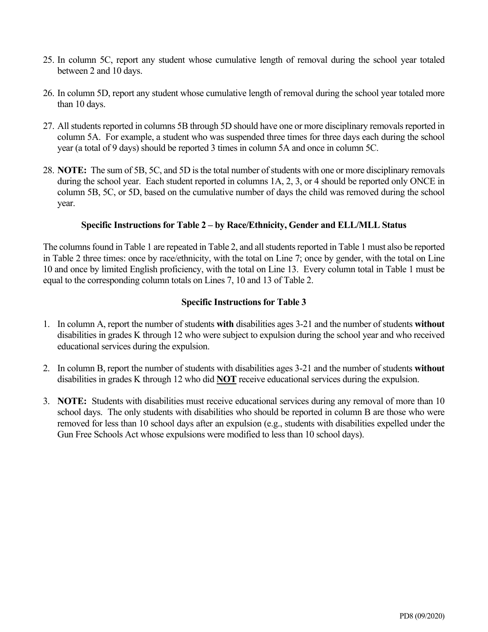- 25. In column 5C, report any student whose cumulative length of removal during the school year totaled between 2 and 10 days.
- 26. In column 5D, report any student whose cumulative length of removal during the school year totaled more than 10 days.
- 27. All students reported in columns 5B through 5D should have one or more disciplinary removals reported in column 5A. For example, a student who was suspended three times for three days each during the school year (a total of 9 days) should be reported 3 times in column 5A and once in column 5C.
- 28. **NOTE:** The sum of 5B, 5C, and 5D is the total number of students with one or more disciplinary removals during the school year. Each student reported in columns 1A, 2, 3, or 4 should be reported only ONCE in column 5B, 5C, or 5D, based on the cumulative number of days the child was removed during the school year.

### **Specific Instructions for Table 2 – by Race/Ethnicity, Gender and ELL/MLL Status**

The columns found in Table 1 are repeated in Table 2, and all students reported in Table 1 must also be reported in Table 2 three times: once by race/ethnicity, with the total on Line 7; once by gender, with the total on Line 10 and once by limited English proficiency, with the total on Line 13. Every column total in Table 1 must be equal to the corresponding column totals on Lines 7, 10 and 13 of Table 2.

## **Specific Instructions for Table 3**

- 1. In column A, report the number of students **with** disabilities ages 3-21 and the number of students **without**  disabilities in grades K through 12 who were subject to expulsion during the school year and who received educational services during the expulsion.
- 2. In column B, report the number of students with disabilities ages 3-21 and the number of students **without**  disabilities in grades K through 12 who did **NOT** receive educational services during the expulsion.
- 3. **NOTE:** Students with disabilities must receive educational services during any removal of more than 10 school days. The only students with disabilities who should be reported in column B are those who were removed for less than 10 school days after an expulsion (e.g., students with disabilities expelled under the Gun Free Schools Act whose expulsions were modified to less than 10 school days).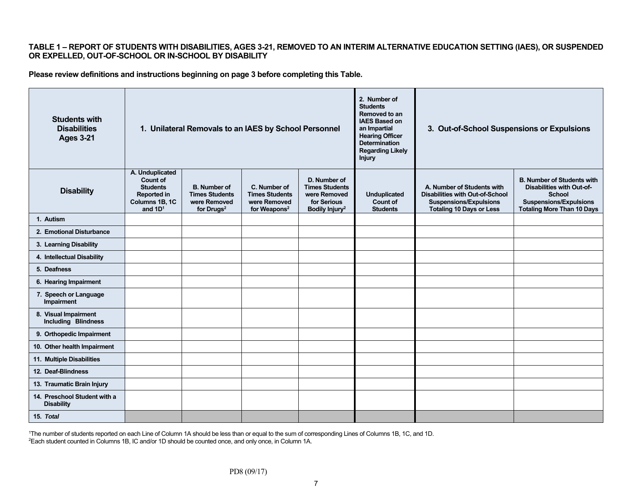#### **TABLE 1 – REPORT OF STUDENTS WITH DISABILITIES, AGES 3-21, REMOVED TO AN INTERIM ALTERNATIVE EDUCATION SETTING (IAES), OR SUSPENDED OR EXPELLED, OUT-OF-SCHOOL OR IN-SCHOOL BY DISABILITY**

**Please review definitions and instructions beginning on page 3 before completing this Table.** 

| <b>Students with</b><br><b>Disabilities</b><br><b>Ages 3-21</b> | 1. Unilateral Removals to an IAES by School Personnel                                                      |                                                                               |                                                                                   |                                                                                                    | 2. Number of<br><b>Students</b><br>Removed to an<br><b>IAES Based on</b><br>an Impartial<br><b>Hearing Officer</b><br><b>Determination</b><br><b>Regarding Likely</b><br><b>Injury</b> | 3. Out-of-School Suspensions or Expulsions                                                                                               |                                                                                                                                                              |
|-----------------------------------------------------------------|------------------------------------------------------------------------------------------------------------|-------------------------------------------------------------------------------|-----------------------------------------------------------------------------------|----------------------------------------------------------------------------------------------------|----------------------------------------------------------------------------------------------------------------------------------------------------------------------------------------|------------------------------------------------------------------------------------------------------------------------------------------|--------------------------------------------------------------------------------------------------------------------------------------------------------------|
| <b>Disability</b>                                               | A. Unduplicated<br><b>Count of</b><br><b>Students</b><br><b>Reported in</b><br>Columns 1B, 1C<br>and $1D1$ | <b>B.</b> Number of<br><b>Times Students</b><br>were Removed<br>for Drugs $2$ | C. Number of<br><b>Times Students</b><br>were Removed<br>for Weapons <sup>2</sup> | D. Number of<br><b>Times Students</b><br>were Removed<br>for Serious<br>Bodily Injury <sup>2</sup> | <b>Unduplicated</b><br><b>Count of</b><br><b>Students</b>                                                                                                                              | A. Number of Students with<br><b>Disabilities with Out-of-School</b><br><b>Suspensions/Expulsions</b><br><b>Totaling 10 Days or Less</b> | <b>B. Number of Students with</b><br><b>Disabilities with Out-of-</b><br><b>School</b><br><b>Suspensions/Expulsions</b><br><b>Totaling More Than 10 Days</b> |
| 1. Autism                                                       |                                                                                                            |                                                                               |                                                                                   |                                                                                                    |                                                                                                                                                                                        |                                                                                                                                          |                                                                                                                                                              |
| 2. Emotional Disturbance                                        |                                                                                                            |                                                                               |                                                                                   |                                                                                                    |                                                                                                                                                                                        |                                                                                                                                          |                                                                                                                                                              |
| 3. Learning Disability                                          |                                                                                                            |                                                                               |                                                                                   |                                                                                                    |                                                                                                                                                                                        |                                                                                                                                          |                                                                                                                                                              |
| 4. Intellectual Disability                                      |                                                                                                            |                                                                               |                                                                                   |                                                                                                    |                                                                                                                                                                                        |                                                                                                                                          |                                                                                                                                                              |
| 5. Deafness                                                     |                                                                                                            |                                                                               |                                                                                   |                                                                                                    |                                                                                                                                                                                        |                                                                                                                                          |                                                                                                                                                              |
| 6. Hearing Impairment                                           |                                                                                                            |                                                                               |                                                                                   |                                                                                                    |                                                                                                                                                                                        |                                                                                                                                          |                                                                                                                                                              |
| 7. Speech or Language<br>Impairment                             |                                                                                                            |                                                                               |                                                                                   |                                                                                                    |                                                                                                                                                                                        |                                                                                                                                          |                                                                                                                                                              |
| 8. Visual Impairment<br><b>Including Blindness</b>              |                                                                                                            |                                                                               |                                                                                   |                                                                                                    |                                                                                                                                                                                        |                                                                                                                                          |                                                                                                                                                              |
| 9. Orthopedic Impairment                                        |                                                                                                            |                                                                               |                                                                                   |                                                                                                    |                                                                                                                                                                                        |                                                                                                                                          |                                                                                                                                                              |
| 10. Other health Impairment                                     |                                                                                                            |                                                                               |                                                                                   |                                                                                                    |                                                                                                                                                                                        |                                                                                                                                          |                                                                                                                                                              |
| 11. Multiple Disabilities                                       |                                                                                                            |                                                                               |                                                                                   |                                                                                                    |                                                                                                                                                                                        |                                                                                                                                          |                                                                                                                                                              |
| 12. Deaf-Blindness                                              |                                                                                                            |                                                                               |                                                                                   |                                                                                                    |                                                                                                                                                                                        |                                                                                                                                          |                                                                                                                                                              |
| 13. Traumatic Brain Injury                                      |                                                                                                            |                                                                               |                                                                                   |                                                                                                    |                                                                                                                                                                                        |                                                                                                                                          |                                                                                                                                                              |
| 14. Preschool Student with a<br><b>Disability</b>               |                                                                                                            |                                                                               |                                                                                   |                                                                                                    |                                                                                                                                                                                        |                                                                                                                                          |                                                                                                                                                              |
| 15. Total                                                       |                                                                                                            |                                                                               |                                                                                   |                                                                                                    |                                                                                                                                                                                        |                                                                                                                                          |                                                                                                                                                              |

1The number of students reported on each Line of Column 1A should be less than or equal to the sum of corresponding Lines of Columns 1B, 1C, and 1D. 2Each student counted in Columns 1B, IC and/or 1D should be counted once, and only once, in Column 1A.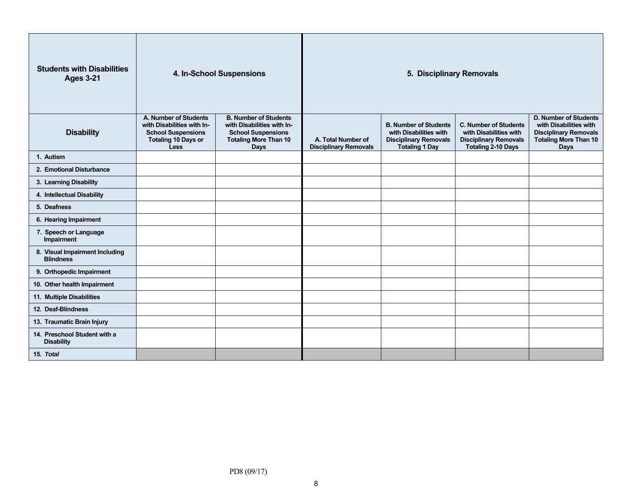| <b>Students with Disabilities</b><br><b>Ages 3-21</b> | 4. In-School Suspensions                                                                                               |                                                                                                                                        | 5. Disciplinary Removals                           |                                                                                                                 |                                                                                                                     |                                                                                                                                       |
|-------------------------------------------------------|------------------------------------------------------------------------------------------------------------------------|----------------------------------------------------------------------------------------------------------------------------------------|----------------------------------------------------|-----------------------------------------------------------------------------------------------------------------|---------------------------------------------------------------------------------------------------------------------|---------------------------------------------------------------------------------------------------------------------------------------|
| <b>Disability</b>                                     | A. Number of Students<br>with Disabilities with In-<br><b>School Suspensions</b><br><b>Totaling 10 Days or</b><br>Less | <b>B. Number of Students</b><br>with Disabilities with In-<br><b>School Suspensions</b><br><b>Totaling More Than 10</b><br><b>Days</b> | A. Total Number of<br><b>Disciplinary Removals</b> | <b>B. Number of Students</b><br>with Disabilities with<br><b>Disciplinary Removals</b><br><b>Totaling 1 Day</b> | <b>C. Number of Students</b><br>with Disabilities with<br><b>Disciplinary Removals</b><br><b>Totaling 2-10 Days</b> | <b>D. Number of Students</b><br>with Disabilities with<br><b>Disciplinary Removals</b><br><b>Totaling More Than 10</b><br><b>Days</b> |
| 1. Autism                                             |                                                                                                                        |                                                                                                                                        |                                                    |                                                                                                                 |                                                                                                                     |                                                                                                                                       |
| 2. Emotional Disturbance                              |                                                                                                                        |                                                                                                                                        |                                                    |                                                                                                                 |                                                                                                                     |                                                                                                                                       |
| 3. Learning Disability                                |                                                                                                                        |                                                                                                                                        |                                                    |                                                                                                                 |                                                                                                                     |                                                                                                                                       |
| 4. Intellectual Disability                            |                                                                                                                        |                                                                                                                                        |                                                    |                                                                                                                 |                                                                                                                     |                                                                                                                                       |
| 5. Deafness                                           |                                                                                                                        |                                                                                                                                        |                                                    |                                                                                                                 |                                                                                                                     |                                                                                                                                       |
| 6. Hearing Impairment                                 |                                                                                                                        |                                                                                                                                        |                                                    |                                                                                                                 |                                                                                                                     |                                                                                                                                       |
| 7. Speech or Language<br>Impairment                   |                                                                                                                        |                                                                                                                                        |                                                    |                                                                                                                 |                                                                                                                     |                                                                                                                                       |
| 8. Visual Impairment Including<br><b>Blindness</b>    |                                                                                                                        |                                                                                                                                        |                                                    |                                                                                                                 |                                                                                                                     |                                                                                                                                       |
| 9. Orthopedic Impairment                              |                                                                                                                        |                                                                                                                                        |                                                    |                                                                                                                 |                                                                                                                     |                                                                                                                                       |
| 10. Other health Impairment                           |                                                                                                                        |                                                                                                                                        |                                                    |                                                                                                                 |                                                                                                                     |                                                                                                                                       |
| 11. Multiple Disabilities                             |                                                                                                                        |                                                                                                                                        |                                                    |                                                                                                                 |                                                                                                                     |                                                                                                                                       |
| 12. Deaf-Blindness                                    |                                                                                                                        |                                                                                                                                        |                                                    |                                                                                                                 |                                                                                                                     |                                                                                                                                       |
| 13. Traumatic Brain Injury                            |                                                                                                                        |                                                                                                                                        |                                                    |                                                                                                                 |                                                                                                                     |                                                                                                                                       |
| 14. Preschool Student with a<br><b>Disability</b>     |                                                                                                                        |                                                                                                                                        |                                                    |                                                                                                                 |                                                                                                                     |                                                                                                                                       |
| 15. Total                                             |                                                                                                                        |                                                                                                                                        |                                                    |                                                                                                                 |                                                                                                                     |                                                                                                                                       |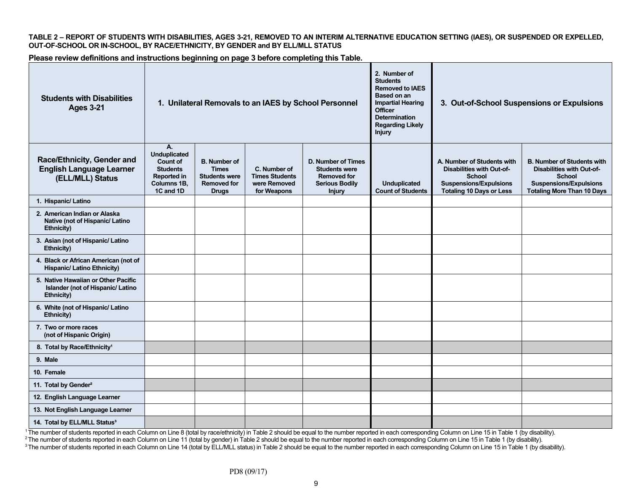**TABLE 2 – REPORT OF STUDENTS WITH DISABILITIES, AGES 3-21, REMOVED TO AN INTERIM ALTERNATIVE EDUCATION SETTING (IAES), OR SUSPENDED OR EXPELLED, OUT-OF-SCHOOL OR IN-SCHOOL, BY RACE/ETHNICITY, BY GENDER and BY ELL/MLL STATUS** 

**Please review definitions and instructions beginning on page 3 before completing this Table.** 

| <b>Students with Disabilities</b><br><b>Ages 3-21</b>                                         | 1. Unilateral Removals to an IAES by School Personnel                                                             |                                                                                                   |                                                                      |                                                                                                                   | 2. Number of<br><b>Students</b><br><b>Removed to IAES</b><br><b>Based on an</b><br><b>Impartial Hearing</b><br><b>Officer</b><br><b>Determination</b><br><b>Regarding Likely</b><br><b>Injury</b> | 3. Out-of-School Suspensions or Expulsions                                                                                                          |                                                                                                                                                              |  |
|-----------------------------------------------------------------------------------------------|-------------------------------------------------------------------------------------------------------------------|---------------------------------------------------------------------------------------------------|----------------------------------------------------------------------|-------------------------------------------------------------------------------------------------------------------|---------------------------------------------------------------------------------------------------------------------------------------------------------------------------------------------------|-----------------------------------------------------------------------------------------------------------------------------------------------------|--------------------------------------------------------------------------------------------------------------------------------------------------------------|--|
| Race/Ethnicity, Gender and<br><b>English Language Learner</b><br>(ELL/MLL) Status             | А.<br><b>Unduplicated</b><br><b>Count of</b><br><b>Students</b><br><b>Reported in</b><br>Columns 1B,<br>1C and 1D | <b>B.</b> Number of<br><b>Times</b><br><b>Students were</b><br><b>Removed for</b><br><b>Drugs</b> | C. Number of<br><b>Times Students</b><br>were Removed<br>for Weapons | <b>D. Number of Times</b><br><b>Students were</b><br><b>Removed for</b><br><b>Serious Bodily</b><br><b>Injury</b> | <b>Unduplicated</b><br><b>Count of Students</b>                                                                                                                                                   | A. Number of Students with<br><b>Disabilities with Out-of-</b><br><b>School</b><br><b>Suspensions/Expulsions</b><br><b>Totaling 10 Days or Less</b> | <b>B. Number of Students with</b><br><b>Disabilities with Out-of-</b><br><b>School</b><br><b>Suspensions/Expulsions</b><br><b>Totaling More Than 10 Days</b> |  |
| 1. Hispanic/ Latino                                                                           |                                                                                                                   |                                                                                                   |                                                                      |                                                                                                                   |                                                                                                                                                                                                   |                                                                                                                                                     |                                                                                                                                                              |  |
| 2. American Indian or Alaska<br>Native (not of Hispanic/ Latino<br>Ethnicity)                 |                                                                                                                   |                                                                                                   |                                                                      |                                                                                                                   |                                                                                                                                                                                                   |                                                                                                                                                     |                                                                                                                                                              |  |
| 3. Asian (not of Hispanic/ Latino<br><b>Ethnicity)</b>                                        |                                                                                                                   |                                                                                                   |                                                                      |                                                                                                                   |                                                                                                                                                                                                   |                                                                                                                                                     |                                                                                                                                                              |  |
| 4. Black or African American (not of<br><b>Hispanic/ Latino Ethnicity)</b>                    |                                                                                                                   |                                                                                                   |                                                                      |                                                                                                                   |                                                                                                                                                                                                   |                                                                                                                                                     |                                                                                                                                                              |  |
| 5. Native Hawaiian or Other Pacific<br>Islander (not of Hispanic/ Latino<br><b>Ethnicity)</b> |                                                                                                                   |                                                                                                   |                                                                      |                                                                                                                   |                                                                                                                                                                                                   |                                                                                                                                                     |                                                                                                                                                              |  |
| 6. White (not of Hispanic/ Latino<br><b>Ethnicity)</b>                                        |                                                                                                                   |                                                                                                   |                                                                      |                                                                                                                   |                                                                                                                                                                                                   |                                                                                                                                                     |                                                                                                                                                              |  |
| 7. Two or more races<br>(not of Hispanic Origin)                                              |                                                                                                                   |                                                                                                   |                                                                      |                                                                                                                   |                                                                                                                                                                                                   |                                                                                                                                                     |                                                                                                                                                              |  |
| 8. Total by Race/Ethnicity <sup>1</sup>                                                       |                                                                                                                   |                                                                                                   |                                                                      |                                                                                                                   |                                                                                                                                                                                                   |                                                                                                                                                     |                                                                                                                                                              |  |
| 9. Male                                                                                       |                                                                                                                   |                                                                                                   |                                                                      |                                                                                                                   |                                                                                                                                                                                                   |                                                                                                                                                     |                                                                                                                                                              |  |
| 10. Female                                                                                    |                                                                                                                   |                                                                                                   |                                                                      |                                                                                                                   |                                                                                                                                                                                                   |                                                                                                                                                     |                                                                                                                                                              |  |
| 11. Total by Gender <sup>2</sup>                                                              |                                                                                                                   |                                                                                                   |                                                                      |                                                                                                                   |                                                                                                                                                                                                   |                                                                                                                                                     |                                                                                                                                                              |  |
| 12. English Language Learner                                                                  |                                                                                                                   |                                                                                                   |                                                                      |                                                                                                                   |                                                                                                                                                                                                   |                                                                                                                                                     |                                                                                                                                                              |  |
| 13. Not English Language Learner                                                              |                                                                                                                   |                                                                                                   |                                                                      |                                                                                                                   |                                                                                                                                                                                                   |                                                                                                                                                     |                                                                                                                                                              |  |
| 14. Total by ELL/MLL Status <sup>3</sup>                                                      |                                                                                                                   |                                                                                                   |                                                                      |                                                                                                                   |                                                                                                                                                                                                   |                                                                                                                                                     |                                                                                                                                                              |  |

<sup>1</sup>The number of students reported in each Column on Line 8 (total by race/ethnicity) in Table 2 should be equal to the number reported in each corresponding Column on Line 15 in Table 1 (by disability).

<sup>2</sup> The number of students reported in each Column on Line 11 (total by gender) in Table 2 should be equal to the number reported in each corresponding Column on Line 15 in Table 1 (by disability).

3 The number of students reported in each Column on Line 14 (total by ELL/MLL status) in Table 2 should be equal to the number reported in each corresponding Column on Line 15 in Table 1 (by disability).

PD8 (09/17)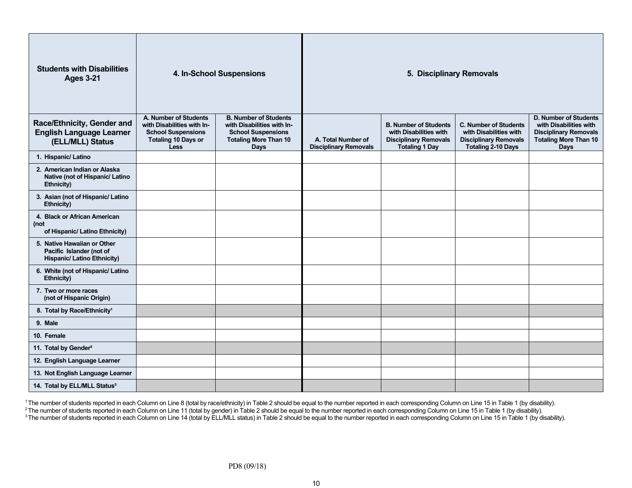| <b>Students with Disabilities</b><br><b>Ages 3-21</b>                                         |                                                                                                                               | 4. In-School Suspensions                                                                                                               | 5. Disciplinary Removals                           |                                                                                                                 |                                                                                                                     |                                                                                                                                |
|-----------------------------------------------------------------------------------------------|-------------------------------------------------------------------------------------------------------------------------------|----------------------------------------------------------------------------------------------------------------------------------------|----------------------------------------------------|-----------------------------------------------------------------------------------------------------------------|---------------------------------------------------------------------------------------------------------------------|--------------------------------------------------------------------------------------------------------------------------------|
| Race/Ethnicity, Gender and<br><b>English Language Learner</b><br>(ELL/MLL) Status             | A. Number of Students<br>with Disabilities with In-<br><b>School Suspensions</b><br><b>Totaling 10 Days or</b><br><b>Less</b> | <b>B. Number of Students</b><br>with Disabilities with In-<br><b>School Suspensions</b><br><b>Totaling More Than 10</b><br><b>Days</b> | A. Total Number of<br><b>Disciplinary Removals</b> | <b>B. Number of Students</b><br>with Disabilities with<br><b>Disciplinary Removals</b><br><b>Totaling 1 Day</b> | <b>C. Number of Students</b><br>with Disabilities with<br><b>Disciplinary Removals</b><br><b>Totaling 2-10 Days</b> | D. Number of Students<br>with Disabilities with<br><b>Disciplinary Removals</b><br><b>Totaling More Than 10</b><br><b>Days</b> |
| 1. Hispanic/Latino                                                                            |                                                                                                                               |                                                                                                                                        |                                                    |                                                                                                                 |                                                                                                                     |                                                                                                                                |
| 2. American Indian or Alaska<br>Native (not of Hispanic/ Latino<br>Ethnicity)                 |                                                                                                                               |                                                                                                                                        |                                                    |                                                                                                                 |                                                                                                                     |                                                                                                                                |
| 3. Asian (not of Hispanic/ Latino<br>Ethnicity)                                               |                                                                                                                               |                                                                                                                                        |                                                    |                                                                                                                 |                                                                                                                     |                                                                                                                                |
| 4. Black or African American<br>(not<br>of Hispanic/ Latino Ethnicity)                        |                                                                                                                               |                                                                                                                                        |                                                    |                                                                                                                 |                                                                                                                     |                                                                                                                                |
| 5. Native Hawaiian or Other<br>Pacific Islander (not of<br><b>Hispanic/ Latino Ethnicity)</b> |                                                                                                                               |                                                                                                                                        |                                                    |                                                                                                                 |                                                                                                                     |                                                                                                                                |
| 6. White (not of Hispanic/ Latino<br>Ethnicity)                                               |                                                                                                                               |                                                                                                                                        |                                                    |                                                                                                                 |                                                                                                                     |                                                                                                                                |
| 7. Two or more races<br>(not of Hispanic Origin)                                              |                                                                                                                               |                                                                                                                                        |                                                    |                                                                                                                 |                                                                                                                     |                                                                                                                                |
| 8. Total by Race/Ethnicity <sup>1</sup>                                                       |                                                                                                                               |                                                                                                                                        |                                                    |                                                                                                                 |                                                                                                                     |                                                                                                                                |
| 9. Male                                                                                       |                                                                                                                               |                                                                                                                                        |                                                    |                                                                                                                 |                                                                                                                     |                                                                                                                                |
| 10. Female                                                                                    |                                                                                                                               |                                                                                                                                        |                                                    |                                                                                                                 |                                                                                                                     |                                                                                                                                |
| 11. Total by Gender <sup>2</sup>                                                              |                                                                                                                               |                                                                                                                                        |                                                    |                                                                                                                 |                                                                                                                     |                                                                                                                                |
| 12. English Language Learner                                                                  |                                                                                                                               |                                                                                                                                        |                                                    |                                                                                                                 |                                                                                                                     |                                                                                                                                |
| 13. Not English Language Learner                                                              |                                                                                                                               |                                                                                                                                        |                                                    |                                                                                                                 |                                                                                                                     |                                                                                                                                |
| 14. Total by ELL/MLL Status <sup>3</sup>                                                      |                                                                                                                               |                                                                                                                                        |                                                    |                                                                                                                 |                                                                                                                     |                                                                                                                                |

<sup>1</sup> The number of students reported in each Column on Line 8 (total by race/ethnicity) in Table 2 should be equal to the number reported in each corresponding Column on Line 15 in Table 1 (by disability).

 $^2$ The number of students reported in each Column on Line 11 (total by gender) in Table 2 should be equal to the number reported in each corresponding Column on Line 15 in Table 1 (by disability).

 $^3$ The number of students reported in each Column on Line 14 (total by ELL/MLL status) in Table 2 should be equal to the number reported in each corresponding Column on Line 15 in Table 1 (by disability).